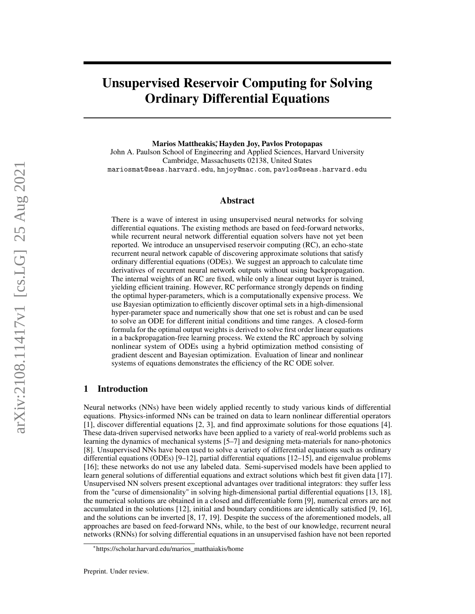# Unsupervised Reservoir Computing for Solving Ordinary Differential Equations

Marios Mattheakis,\* Hayden Joy, Pavlos Protopapas

John A. Paulson School of Engineering and Applied Sciences, Harvard University Cambridge, Massachusetts 02138, United States mariosmat@seas.harvard.edu, hnjoy@mac.com, pavlos@seas.harvard.edu

## Abstract

There is a wave of interest in using unsupervised neural networks for solving differential equations. The existing methods are based on feed-forward networks, while recurrent neural network differential equation solvers have not yet been reported. We introduce an unsupervised reservoir computing (RC), an echo-state recurrent neural network capable of discovering approximate solutions that satisfy ordinary differential equations (ODEs). We suggest an approach to calculate time derivatives of recurrent neural network outputs without using backpropagation. The internal weights of an RC are fixed, while only a linear output layer is trained, yielding efficient training. However, RC performance strongly depends on finding the optimal hyper-parameters, which is a computationally expensive process. We use Bayesian optimization to efficiently discover optimal sets in a high-dimensional hyper-parameter space and numerically show that one set is robust and can be used to solve an ODE for different initial conditions and time ranges. A closed-form formula for the optimal output weights is derived to solve first order linear equations in a backpropagation-free learning process. We extend the RC approach by solving nonlinear system of ODEs using a hybrid optimization method consisting of gradient descent and Bayesian optimization. Evaluation of linear and nonlinear systems of equations demonstrates the efficiency of the RC ODE solver.

## 1 Introduction

Neural networks (NNs) have been widely applied recently to study various kinds of differential equations. Physics-informed NNs can be trained on data to learn nonlinear differential operators [1], discover differential equations [2, 3], and find approximate solutions for those equations [4]. These data-driven supervised networks have been applied to a variety of real-world problems such as learning the dynamics of mechanical systems [5–7] and designing meta-materials for nano-photonics [8]. Unsupervised NNs have been used to solve a variety of differential equations such as ordinary differential equations (ODEs) [9–12], partial differential equations [12–15], and eigenvalue problems [16]; these networks do not use any labeled data. Semi-supervised models have been applied to learn general solutions of differential equations and extract solutions which best fit given data [17]. Unsupervised NN solvers present exceptional advantages over traditional integrators: they suffer less from the "curse of dimensionality" in solving high-dimensional partial differential equations [13, 18], the numerical solutions are obtained in a closed and differentiable form [9], numerical errors are not accumulated in the solutions [12], initial and boundary conditions are identically satisfied [9, 16], and the solutions can be inverted [8, 17, 19]. Despite the success of the aforementioned models, all approaches are based on feed-forward NNs, while, to the best of our knowledge, recurrent neural networks (RNNs) for solving differential equations in an unsupervised fashion have not been reported

<sup>∗</sup> https://scholar.harvard.edu/marios\_matthaiakis/home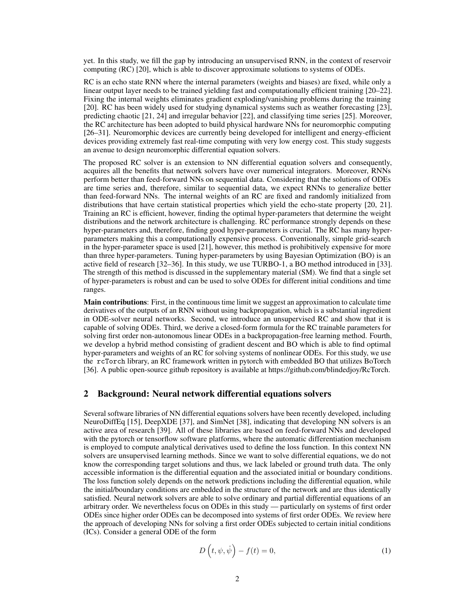yet. In this study, we fill the gap by introducing an unsupervised RNN, in the context of reservoir computing (RC) [20], which is able to discover approximate solutions to systems of ODEs.

RC is an echo state RNN where the internal parameters (weights and biases) are fixed, while only a linear output layer needs to be trained yielding fast and computationally efficient training [20–22]. Fixing the internal weights eliminates gradient exploding/vanishing problems during the training [20]. RC has been widely used for studying dynamical systems such as weather forecasting [23], predicting chaotic [21, 24] and irregular behavior [22], and classifying time series [25]. Moreover, the RC architecture has been adopted to build physical hardware NNs for neuromorphic computing [26–31]. Neuromorphic devices are currently being developed for intelligent and energy-efficient devices providing extremely fast real-time computing with very low energy cost. This study suggests an avenue to design neuromorphic differential equation solvers.

The proposed RC solver is an extension to NN differential equation solvers and consequently, acquires all the benefits that network solvers have over numerical integrators. Moreover, RNNs perform better than feed-forward NNs on sequential data. Considering that the solutions of ODEs are time series and, therefore, similar to sequential data, we expect RNNs to generalize better than feed-forward NNs. The internal weights of an RC are fixed and randomly initialized from distributions that have certain statistical properties which yield the echo-state property [20, 21]. Training an RC is efficient, however, finding the optimal hyper-parameters that determine the weight distributions and the network architecture is challenging. RC performance strongly depends on these hyper-parameters and, therefore, finding good hyper-parameters is crucial. The RC has many hyperparameters making this a computationally expensive process. Conventionally, simple grid-search in the hyper-parameter space is used [21], however, this method is prohibitively expensive for more than three hyper-parameters. Tuning hyper-parameters by using Bayesian Optimization (BO) is an active field of research [32–36]. In this study, we use TURBO-1, a BO method introduced in [33]. The strength of this method is discussed in the supplementary material (SM). We find that a single set of hyper-parameters is robust and can be used to solve ODEs for different initial conditions and time ranges.

Main contributions: First, in the continuous time limit we suggest an approximation to calculate time derivatives of the outputs of an RNN without using backpropagation, which is a substantial ingredient in ODE-solver neural networks. Second, we introduce an unsupervised RC and show that it is capable of solving ODEs. Third, we derive a closed-form formula for the RC trainable parameters for solving first order non-autonomous linear ODEs in a backpropagation-free learning method. Fourth, we develop a hybrid method consisting of gradient descent and BO which is able to find optimal hyper-parameters and weights of an RC for solving systems of nonlinear ODEs. For this study, we use the rcTorch library, an RC framework written in pytorch with embedded BO that utilizes BoTorch [36]. A public open-source github repository is available at https://github.com/blindedjoy/RcTorch.

### 2 Background: Neural network differential equations solvers

Several software libraries of NN differential equations solvers have been recently developed, including NeuroDiffEq [15], DeepXDE [37], and SimNet [38], indicating that developing NN solvers is an active area of research [39]. All of these libraries are based on feed-forward NNs and developed with the pytorch or tensorflow software platforms, where the automatic differentiation mechanism is employed to compute analytical derivatives used to define the loss function. In this context NN solvers are unsupervised learning methods. Since we want to solve differential equations, we do not know the corresponding target solutions and thus, we lack labeled or ground truth data. The only accessible information is the differential equation and the associated initial or boundary conditions. The loss function solely depends on the network predictions including the differential equation, while the initial/boundary conditions are embedded in the structure of the network and are thus identically satisfied. Neural network solvers are able to solve ordinary and partial differential equations of an arbitrary order. We nevertheless focus on ODEs in this study — particularly on systems of first order ODEs since higher order ODEs can be decomposed into systems of first order ODEs. We review here the approach of developing NNs for solving a first order ODEs subjected to certain initial conditions (ICs). Consider a general ODE of the form

$$
D\left(t,\psi,\dot{\psi}\right) - f(t) = 0,\tag{1}
$$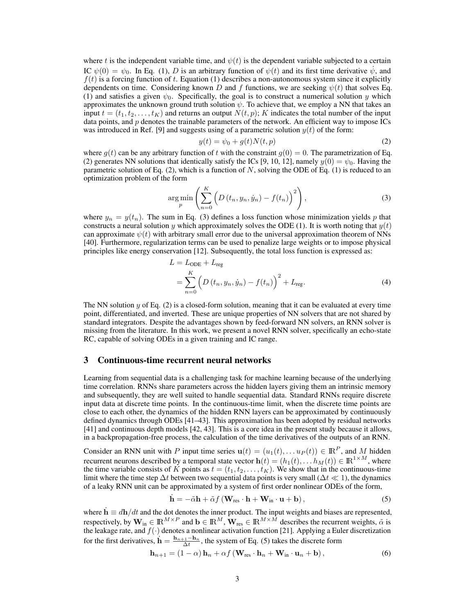where t is the independent variable time, and  $\psi(t)$  is the dependent variable subjected to a certain IC  $\psi(0) = \psi_0$ . In Eq. (1), D is an arbitrary function of  $\psi(t)$  and its first time derivative  $\dot{\psi}$ , and  $f(t)$  is a forcing function of t. Equation (1) describes a non-autonomous system since it explicitly dependents on time. Considering known D and f functions, we are seeking  $\psi(t)$  that solves Eq. (1) and satisfies a given  $\psi_0$ . Specifically, the goal is to construct a numerical solution y which approximates the unknown ground truth solution  $\psi$ . To achieve that, we employ a NN that takes an input  $t = (t_1, t_2, \dots, t_K)$  and returns an output  $N(t, p)$ ; K indicates the total number of the input data points, and  $p$  denotes the trainable parameters of the network. An efficient way to impose ICs was introduced in Ref. [9] and suggests using of a parametric solution  $y(t)$  of the form:

$$
y(t) = \psi_0 + g(t)N(t, p) \tag{2}
$$

where  $g(t)$  can be any arbitrary function of t with the constraint  $g(0) = 0$ . The parametrization of Eq. (2) generates NN solutions that identically satisfy the ICs [9, 10, 12], namely  $y(0) = \psi_0$ . Having the parametric solution of Eq.  $(2)$ , which is a function of N, solving the ODE of Eq.  $(1)$  is reduced to an optimization problem of the form

$$
\underset{p}{\arg\min} \left( \sum_{n=0}^{K} \left( D\left(t_n, y_n, \dot{y}_n\right) - f(t_n) \right)^2 \right), \tag{3}
$$

where  $y_n = y(t_n)$ . The sum in Eq. (3) defines a loss function whose minimization yields p that constructs a neural solution y which approximately solves the ODE (1). It is worth noting that  $y(t)$ can approximate  $\psi(t)$  with arbitrary small error due to the universal approximation theorem of NNs [40]. Furthermore, regularization terms can be used to penalize large weights or to impose physical principles like energy conservation [12]. Subsequently, the total loss function is expressed as:

$$
L = L_{ODE} + L_{reg}
$$
  
= 
$$
\sum_{n=0}^{K} \left( D(t_n, y_n, \dot{y}_n) - f(t_n) \right)^2 + L_{reg}.
$$
 (4)

The NN solution  $\gamma$  of Eq. (2) is a closed-form solution, meaning that it can be evaluated at every time point, differentiated, and inverted. These are unique properties of NN solvers that are not shared by standard integrators. Despite the advantages shown by feed-forward NN solvers, an RNN solver is missing from the literature. In this work, we present a novel RNN solver, specifically an echo-state RC, capable of solving ODEs in a given training and IC range.

## 3 Continuous-time recurrent neural networks

Learning from sequential data is a challenging task for machine learning because of the underlying time correlation. RNNs share parameters across the hidden layers giving them an intrinsic memory and subsequently, they are well suited to handle sequential data. Standard RNNs require discrete input data at discrete time points. In the continuous-time limit, when the discrete time points are close to each other, the dynamics of the hidden RNN layers can be approximated by continuously defined dynamics through ODEs [41–43]. This approximation has been adopted by residual networks [41] and continuous depth models [42, 43]. This is a core idea in the present study because it allows, in a backpropagation-free process, the calculation of the time derivatives of the outputs of an RNN.

Consider an RNN unit with P input time series  $\mathbf{u}(t) = (u_1(t), \dots u_P(t)) \in \mathbb{R}^P$ , and M hidden recurrent neurons described by a temporal state vector  $h(t) = (h_1(t), \ldots, h_M(t)) \in \mathbb{R}^{1 \times M}$ , where the time variable consists of K points as  $t = (t_1, t_2, \ldots, t_K)$ . We show that in the continuous-time limit where the time step  $\Delta t$  between two sequential data points is very small ( $\Delta t \ll 1$ ), the dynamics of a leaky RNN unit can be approximated by a system of first order nonlinear ODEs of the form,

$$
\dot{\mathbf{h}} = -\tilde{\alpha}\mathbf{h} + \tilde{\alpha}f\left(\mathbf{W}_{\text{res}} \cdot \mathbf{h} + \mathbf{W}_{\text{in}} \cdot \mathbf{u} + \mathbf{b}\right),\tag{5}
$$

where  $\dot{\mathbf{h}} \equiv d\mathbf{h}/dt$  and the dot denotes the inner product. The input weights and biases are represented, respectively, by  $\mathbf{W}_{in} \in \mathbb{R}^{M \times P}$  and  $\mathbf{b} \in \mathbb{R}^{M}$ ,  $\mathbf{W}_{res} \in \mathbb{R}^{M \times M}$  describes the recurrent weights,  $\tilde{\alpha}$  is the leakage rate, and  $f(\cdot)$  denotes a nonlinear activation function [21]. Applying a Euler discretization for the first derivatives,  $\dot{\mathbf{h}} = \frac{\mathbf{h}_{n+1} - \mathbf{h}_n}{\Delta t}$ , the system of Eq. (5) takes the discrete form

$$
\mathbf{h}_{n+1} = (1 - \alpha) \, \mathbf{h}_n + \alpha f \left( \mathbf{W}_{\text{res}} \cdot \mathbf{h}_n + \mathbf{W}_{\text{in}} \cdot \mathbf{u}_n + \mathbf{b} \right),\tag{6}
$$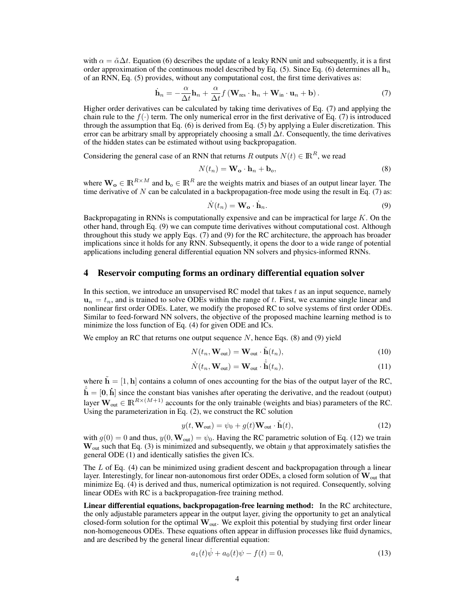with  $\alpha = \tilde{\alpha}\Delta t$ . Equation (6) describes the update of a leaky RNN unit and subsequently, it is a first order approximation of the continuous model described by Eq. (5). Since Eq. (6) determines all  $\mathbf{h}_n$ of an RNN, Eq. (5) provides, without any computational cost, the first time derivatives as:

$$
\dot{\mathbf{h}}_{n} = -\frac{\alpha}{\Delta t} \mathbf{h}_{n} + \frac{\alpha}{\Delta t} f\left(\mathbf{W}_{\text{res}} \cdot \mathbf{h}_{n} + \mathbf{W}_{\text{in}} \cdot \mathbf{u}_{n} + \mathbf{b}\right).
$$
 (7)

Higher order derivatives can be calculated by taking time derivatives of Eq. (7) and applying the chain rule to the  $f(\cdot)$  term. The only numerical error in the first derivative of Eq. (7) is introduced through the assumption that Eq. (6) is derived from Eq. (5) by applying a Euler discretization. This error can be arbitrary small by appropriately choosing a small  $\Delta t$ . Consequently, the time derivatives of the hidden states can be estimated without using backpropagation.

Considering the general case of an RNN that returns R outputs  $N(t) \in \mathbb{R}^R$ , we read

$$
N(t_n) = \mathbf{W_o} \cdot \mathbf{h}_n + \mathbf{b_o},\tag{8}
$$

where  $\mathbf{W}_{o} \in \mathbb{R}^{R \times M}$  and  $\mathbf{b}_{o} \in \mathbb{R}^{R}$  are the weights matrix and biases of an output linear layer. The time derivative of  $N$  can be calculated in a backpropagation-free mode using the result in Eq. (7) as:

$$
\dot{N}(t_n) = \mathbf{W_o} \cdot \dot{\mathbf{h}}_n. \tag{9}
$$

Backpropagating in RNNs is computationally expensive and can be impractical for large  $K$ . On the other hand, through Eq. (9) we can compute time derivatives without computational cost. Although throughout this study we apply Eqs. (7) and (9) for the RC architecture, the approach has broader implications since it holds for any RNN. Subsequently, it opens the door to a wide range of potential applications including general differential equation NN solvers and physics-informed RNNs.

## 4 Reservoir computing forms an ordinary differential equation solver

In this section, we introduce an unsupervised RC model that takes  $t$  as an input sequence, namely  $u_n = t_n$ , and is trained to solve ODEs within the range of t. First, we examine single linear and nonlinear first order ODEs. Later, we modify the proposed RC to solve systems of first order ODEs. Similar to feed-forward NN solvers, the objective of the proposed machine learning method is to minimize the loss function of Eq. (4) for given ODE and ICs.

We employ an RC that returns one output sequence  $N$ , hence Eqs. (8) and (9) yield

$$
N(t_n, \mathbf{W}_{\text{out}}) = \mathbf{W}_{\text{out}} \cdot \tilde{\mathbf{h}}(t_n),
$$
\n(10)

$$
\dot{N}(t_n, \mathbf{W}_{\text{out}}) = \mathbf{W}_{\text{out}} \cdot \dot{\tilde{\mathbf{h}}}(t_n),\tag{11}
$$

where  $\tilde{\mathbf{h}} = [1, \mathbf{h}]$  contains a column of ones accounting for the bias of the output layer of the RC,  $\dot{\tilde{h}} = [0, \dot{h}]$  since the constant bias vanishes after operating the derivative, and the readout (output) layer  $\mathbf{W}_{out} \in \mathbb{R}^{R \times (M+1)}$  accounts for the only trainable (weights and bias) parameters of the RC. Using the parameterization in Eq. (2), we construct the RC solution

$$
y(t, \mathbf{W}_{out}) = \psi_0 + g(t) \mathbf{W}_{out} \cdot \tilde{\mathbf{h}}(t),
$$
 (12)

with  $g(0) = 0$  and thus,  $y(0, \mathbf{W}_{out}) = \psi_0$ . Having the RC parametric solution of Eq. (12) we train  $\mathbf{W}_{out}$  such that Eq. (3) is minimized and subsequently, we obtain y that approximately satisfies the general ODE (1) and identically satisfies the given ICs.

The  $L$  of Eq. (4) can be minimized using gradient descent and backpropagation through a linear layer. Interestingly, for linear non-autonomous first order ODEs, a closed form solution of  $W_{out}$  that minimize Eq. (4) is derived and thus, numerical optimization is not required. Consequently, solving linear ODEs with RC is a backpropagation-free training method.

Linear differential equations, backpropagation-free learning method: In the RC architecture, the only adjustable parameters appear in the output layer, giving the opportunity to get an analytical closed-form solution for the optimal W<sub>out</sub>. We exploit this potential by studying first order linear non-homogeneous ODEs. These equations often appear in diffusion processes like fluid dynamics, and are described by the general linear differential equation:

$$
a_1(t)\dot{\psi} + a_0(t)\psi - f(t) = 0,
$$
\n(13)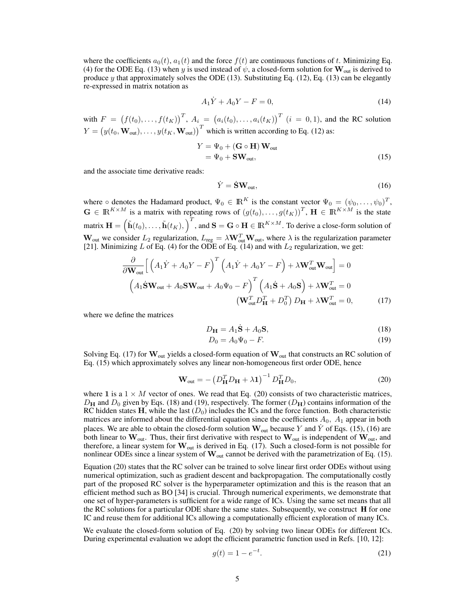where the coefficients  $a_0(t)$ ,  $a_1(t)$  and the force  $f(t)$  are continuous functions of t. Minimizing Eq. (4) for the ODE Eq. (13) when y is used instead of  $\psi$ , a closed-form solution for  $\mathbf{W}_{out}$  is derived to produce y that approximately solves the ODE  $(13)$ . Substituting Eq.  $(12)$ , Eq.  $(13)$  can be elegantly re-expressed in matrix notation as

$$
A_1 \dot{Y} + A_0 Y - F = 0,\t\t(14)
$$

with  $F = (f(t_0),...,f(t_K))^T$ ,  $A_i = (a_i(t_0),...,a_i(t_K))^T$   $(i = 0,1)$ , and the RC solution  $Y = (y(t_0, \mathbf{W}_{out}), \dots, y(t_K, \mathbf{W}_{out}))^T$  which is written according to Eq. (12) as:

$$
Y = \Psi_0 + (\mathbf{G} \circ \mathbf{H}) \mathbf{W}_{out}
$$
  
=  $\Psi_0 + \mathbf{SW}_{out}$ , (15)

and the associate time derivative reads:

$$
\dot{Y} = \dot{\mathbf{S}} \mathbf{W}_{\text{out}},\tag{16}
$$

where  $\circ$  denotes the Hadamard product,  $\Psi_0 \in \mathbb{R}^K$  is the constant vector  $\Psi_0 = (\psi_0, \dots, \psi_0)^T$ ,  $\mathbf{G} \in \mathbb{R}^{K \times M}$  is a matrix with repeating rows of  $(g(t_0), \ldots, g(t_K))^T$ ,  $\mathbf{H} \in \mathbb{R}^{K \times M}$  is the state matrix  $\mathbf{H} = (\tilde{\mathbf{h}}(t_0), \dots, \tilde{\mathbf{h}}(t_K), \int^T$ , and  $\mathbf{S} = \mathbf{G} \circ \mathbf{H} \in \mathbb{R}^{K \times M}$ . To derive a close-form solution of  $W_{\text{out}}$  we consider  $L_2$  regularization,  $L_{\text{reg}} = \lambda W_{\text{out}}^T W_{\text{out}}$ , where  $\lambda$  is the regularization parameter [21]. Minimizing L of Eq. (4) for the ODE of Eq. (14) and with  $L_2$  regularization, we get:

$$
\frac{\partial}{\partial \mathbf{W}_{out}} \Big[ \left( A_1 \dot{Y} + A_0 Y - F \right)^T \left( A_1 \dot{Y} + A_0 Y - F \right) + \lambda \mathbf{W}_{out}^T \mathbf{W}_{out} \Big] = 0
$$
\n
$$
\left( A_1 \dot{\mathbf{S}} \mathbf{W}_{out} + A_0 \mathbf{S} \mathbf{W}_{out} + A_0 \Psi_0 - F \right)^T \left( A_1 \dot{\mathbf{S}} + A_0 \mathbf{S} \right) + \lambda \mathbf{W}_{out}^T = 0
$$
\n
$$
\left( \mathbf{W}_{out}^T D_H^T + D_0^T \right) D_H + \lambda \mathbf{W}_{out}^T = 0, \tag{17}
$$

where we define the matrices

$$
D_{\mathbf{H}} = A_1 \dot{\mathbf{S}} + A_0 \mathbf{S},\tag{18}
$$

$$
D_0 = A_0 \Psi_0 - F. \tag{19}
$$

Solving Eq. (17) for  $\mathbf{W}_{out}$  yields a closed-form equation of  $\mathbf{W}_{out}$  that constructs an RC solution of Eq. (15) which approximately solves any linear non-homogeneous first order ODE, hence

$$
\mathbf{W}_{\text{out}} = -\left(D_{\mathbf{H}}^T D_{\mathbf{H}} + \lambda \mathbf{1}\right)^{-1} D_{\mathbf{H}}^T D_0, \tag{20}
$$

where 1 is a  $1 \times M$  vector of ones. We read that Eq. (20) consists of two characteristic matrices,  $D_{\rm H}$  and  $D_0$  given by Eqs. (18) and (19), respectively. The former ( $D_{\rm H}$ ) contains information of the RC hidden states H, while the last  $(D_0)$  includes the ICs and the force function. Both characteristic matrices are informed about the differential equation since the coefficients  $A_0$ ,  $A_1$  appear in both places. We are able to obtain the closed-form solution  $\mathbf{W}_{out}$  because Y and Y of Eqs. (15), (16) are both linear to  $W_{out}$ . Thus, their first derivative with respect to  $W_{out}$  is independent of  $W_{out}$ , and therefore, a linear system for  $\mathbf{W}_{out}$  is derived in Eq. (17). Such a closed-form is not possible for nonlinear ODEs since a linear system of  $\mathbf{W}_{out}$  cannot be derived with the parametrization of Eq. (15).

Equation (20) states that the RC solver can be trained to solve linear first order ODEs without using numerical optimization, such as gradient descent and backpropagation. The computationally costly part of the proposed RC solver is the hyperparameter optimization and this is the reason that an efficient method such as BO [34] is crucial. Through numerical experiments, we demonstrate that one set of hyper-parameters is sufficient for a wide range of ICs. Using the same set means that all the RC solutions for a particular ODE share the same states. Subsequently, we construct  $\bf{H}$  for one IC and reuse them for additional ICs allowing a computationally efficient exploration of many ICs.

We evaluate the closed-form solution of Eq. (20) by solving two linear ODEs for different ICs. During experimental evaluation we adopt the efficient parametric function used in Refs. [10, 12]:

$$
g(t) = 1 - e^{-t}.
$$
 (21)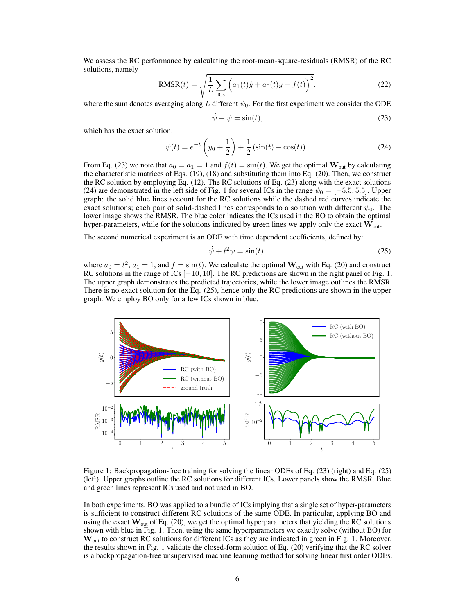We assess the RC performance by calculating the root-mean-square-residuals (RMSR) of the RC solutions, namely

RMSR(t) = 
$$
\sqrt{\frac{1}{L} \sum_{ICs} (a_1(t)\dot{y} + a_0(t)y - f(t))^2}
$$
, (22)

where the sum denotes averaging along L different  $\psi_0$ . For the first experiment we consider the ODE

$$
\dot{\psi} + \psi = \sin(t),\tag{23}
$$

which has the exact solution:

$$
\psi(t) = e^{-t} \left( y_0 + \frac{1}{2} \right) + \frac{1}{2} \left( \sin(t) - \cos(t) \right). \tag{24}
$$

From Eq. (23) we note that  $a_0 = a_1 = 1$  and  $f(t) = \sin(t)$ . We get the optimal  $\mathbf{W}_{\text{out}}$  by calculating the characteristic matrices of Eqs. (19), (18) and substituting them into Eq. (20). Then, we construct the RC solution by employing Eq. (12). The RC solutions of Eq. (23) along with the exact solutions (24) are demonstrated in the left side of Fig. 1 for several ICs in the range  $\psi_0 = [-5.5, 5.5]$ . Upper graph: the solid blue lines account for the RC solutions while the dashed red curves indicate the exact solutions; each pair of solid-dashed lines corresponds to a solution with different  $\psi_0$ . The lower image shows the RMSR. The blue color indicates the ICs used in the BO to obtain the optimal hyper-parameters, while for the solutions indicated by green lines we apply only the exact  $W_{\text{out}}$ .

The second numerical experiment is an ODE with time dependent coefficients, defined by:

$$
\dot{\psi} + t^2 \psi = \sin(t),\tag{25}
$$

where  $a_0 = t^2$ ,  $a_1 = 1$ , and  $f = \sin(t)$ . We calculate the optimal  $\mathbf{W}_{out}$  with Eq. (20) and construct RC solutions in the range of  $\text{ICs}$  [−10, 10]. The RC predictions are shown in the right panel of Fig. 1. The upper graph demonstrates the predicted trajectories, while the lower image outlines the RMSR. There is no exact solution for the Eq. (25), hence only the RC predictions are shown in the upper graph. We employ BO only for a few ICs shown in blue.



Figure 1: Backpropagation-free training for solving the linear ODEs of Eq. (23) (right) and Eq. (25) (left). Upper graphs outline the RC solutions for different ICs. Lower panels show the RMSR. Blue and green lines represent ICs used and not used in BO.

In both experiments, BO was applied to a bundle of ICs implying that a single set of hyper-parameters is sufficient to construct different RC solutions of the same ODE. In particular, applying BO and using the exact  $W_{out}$  of Eq. (20), we get the optimal hyperparameters that yielding the RC solutions shown with blue in Fig. 1. Then, using the same hyperparameters we exactly solve (without BO) for W<sub>out</sub> to construct RC solutions for different ICs as they are indicated in green in Fig. 1. Moreover, the results shown in Fig. 1 validate the closed-form solution of Eq. (20) verifying that the RC solver is a backpropagation-free unsupervised machine learning method for solving linear first order ODEs.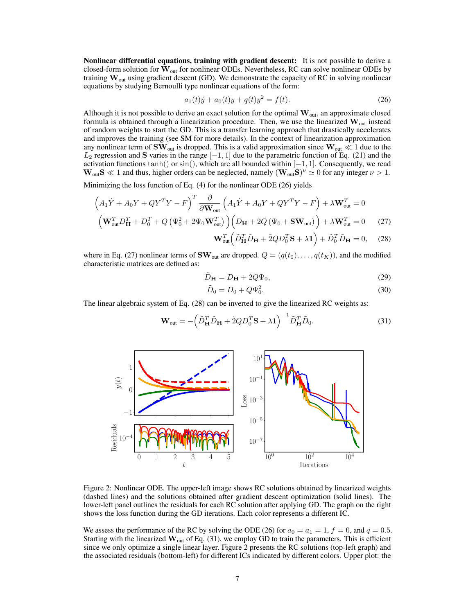Nonlinear differential equations, training with gradient descent: It is not possible to derive a closed-form solution for  $\mathbf{W}_{out}$  for nonlinear ODEs. Nevertheless, RC can solve nonlinear ODEs by training  $W_{\text{out}}$  using gradient descent (GD). We demonstrate the capacity of RC in solving nonlinear equations by studying Bernoulli type nonlinear equations of the form:

$$
a_1(t)\dot{y} + a_0(t)y + q(t)y^2 = f(t).
$$
\n(26)

Although it is not possible to derive an exact solution for the optimal  $\mathbf{W}_{out}$ , an approximate closed formula is obtained through a linearization procedure. Then, we use the linearized  $W_{out}$  instead of random weights to start the GD. This is a transfer learning approach that drastically accelerates and improves the training (see SM for more details). In the context of linearization approximation any nonlinear term of  $\text{SW}_{\text{out}}$  is dropped. This is a valid approximation since  $\text{W}_{\text{out}} \ll 1$  due to the  $L_2$  regression and S varies in the range  $[-1, 1]$  due to the parametric function of Eq. (21) and the activation functions  $tanh()$  or  $sin()$ , which are all bounded within  $[-1, 1]$ . Consequently, we read  $\mathbf{W}_{out} \mathbf{S} \ll 1$  and thus, higher orders can be neglected, namely  $(\mathbf{W}_{out} \mathbf{S})^{\nu} \simeq 0$  for any integer  $\nu > 1$ .

Minimizing the loss function of Eq. (4) for the nonlinear ODE (26) yields

$$
\left(A_{1}\dot{Y} + A_{0}Y + QY^{T}Y - F\right)^{T} \frac{\partial}{\partial \mathbf{W}_{out}} \left(A_{1}\dot{Y} + A_{0}Y + QY^{T}Y - F\right) + \lambda \mathbf{W}_{out}^{T} = 0
$$
\n
$$
\left(\mathbf{W}_{out}^{T}D_{\mathbf{H}}^{T} + D_{0}^{T} + Q\left(\Psi_{0}^{2} + 2\Psi_{0}\mathbf{W}_{out}^{T}\right)\right)\left(D_{\mathbf{H}} + 2Q\left(\Psi_{0} + \mathbf{SW}_{out}\right)\right) + \lambda \mathbf{W}_{out}^{T} = 0 \tag{27}
$$

$$
\mathbf{W}_{out}^T \left( \tilde{D}_{\mathbf{H}}^T \tilde{D}_{\mathbf{H}} + \tilde{2} Q D_0^T \mathbf{S} + \lambda \mathbf{1} \right) + \tilde{D}_0^T \tilde{D}_{\mathbf{H}} = 0, \quad (28)
$$

where in Eq. (27) nonlinear terms of  $\text{SW}_{\text{out}}$  are dropped.  $Q = (q(t_0), \ldots, q(t_K))$ , and the modified characteristic matrices are defined as:

$$
\tilde{D}_{\mathbf{H}} = D_{\mathbf{H}} + 2Q\Psi_0,\tag{29}
$$

$$
\tilde{D}_0 = D_0 + Q\Psi_0^2.
$$
\n(30)

The linear algebraic system of Eq. (28) can be inverted to give the linearized RC weights as:

$$
\mathbf{W}_{\text{out}} = -\left(\tilde{D}_{\mathbf{H}}^T \tilde{D}_{\mathbf{H}} + \tilde{2}Q D_0^T \mathbf{S} + \lambda \mathbf{1}\right)^{-1} \tilde{D}_{\mathbf{H}}^T \tilde{D}_0. \tag{31}
$$



Figure 2: Nonlinear ODE. The upper-left image shows RC solutions obtained by linearized weights (dashed lines) and the solutions obtained after gradient descent optimization (solid lines). The lower-left panel outlines the residuals for each RC solution after applying GD. The graph on the right shows the loss function during the GD iterations. Each color represents a different IC.

We assess the performance of the RC by solving the ODE (26) for  $a_0 = a_1 = 1$ ,  $f = 0$ , and  $q = 0.5$ . Starting with the linearized  $W_{out}$  of Eq. (31), we employ GD to train the parameters. This is efficient since we only optimize a single linear layer. Figure 2 presents the RC solutions (top-left graph) and the associated residuals (bottom-left) for different ICs indicated by different colors. Upper plot: the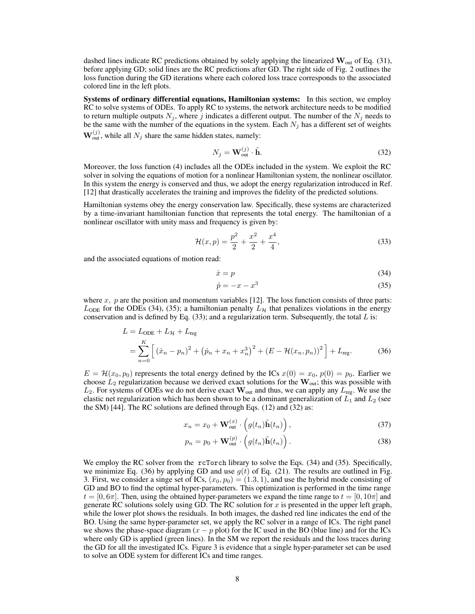dashed lines indicate RC predictions obtained by solely applying the linearized  $W_{out}$  of Eq. (31), before applying GD; solid lines are the RC predictions after GD. The right side of Fig. 2 outlines the loss function during the GD iterations where each colored loss trace corresponds to the associated colored line in the left plots.

Systems of ordinary differential equations, Hamiltonian systems: In this section, we employ RC to solve systems of ODEs. To apply RC to systems, the network architecture needs to be modified to return multiple outputs  $N_j$ , where j indicates a different output. The number of the  $N_j$  needs to be the same with the number of the equations in the system. Each  $N_j$  has a different set of weights  $\mathbf{W}_{out}^{(j)}$ , while all  $N_j$  share the same hidden states, namely:

$$
N_j = \mathbf{W}_{\text{out}}^{(j)} \cdot \tilde{\mathbf{h}}.\tag{32}
$$

Moreover, the loss function (4) includes all the ODEs included in the system. We exploit the RC solver in solving the equations of motion for a nonlinear Hamiltonian system, the nonlinear oscillator. In this system the energy is conserved and thus, we adopt the energy regularization introduced in Ref. [12] that drastically accelerates the training and improves the fidelity of the predicted solutions.

Hamiltonian systems obey the energy conservation law. Specifically, these systems are characterized by a time-invariant hamiltonian function that represents the total energy. The hamiltonian of a nonlinear oscillator with unity mass and frequency is given by:

$$
\mathcal{H}(x,p) = \frac{p^2}{2} + \frac{x^2}{2} + \frac{x^4}{4},\tag{33}
$$

and the associated equations of motion read:

$$
\dot{x} = p \tag{34}
$$

$$
\dot{p} = -x - x^3 \tag{35}
$$

where  $x$ ,  $p$  are the position and momentum variables [12]. The loss function consists of three parts:  $L_{ODE}$  for the ODEs (34), (35); a hamiltonian penalty  $L_{\mathcal{H}}$  that penalizes violations in the energy conservation and is defined by Eq.  $(33)$ ; and a regularization term. Subsequently, the total L is:

$$
L = L_{ODE} + L_{\mathcal{H}} + L_{reg}
$$
  
= 
$$
\sum_{n=0}^{K} \left[ \left( \dot{x}_n - p_n \right)^2 + \left( \dot{p}_n + x_n + x_n^3 \right)^2 + \left( E - \mathcal{H}(x_n, p_n) \right)^2 \right] + L_{reg}.
$$
 (36)

 $E = \mathcal{H}(x_0, p_0)$  represents the total energy defined by the ICs  $x(0) = x_0$ ,  $p(0) = p_0$ . Earlier we choose  $L_2$  regularization because we derived exact solutions for the  $\mathbf{W}_{out}$ ; this was possible with  $L_2$ . For systems of ODEs we do not derive exact  $W_{\text{out}}$  and thus, we can apply any  $L_{\text{reg}}$ . We use the elastic net regularization which has been shown to be a dominant generalization of  $L_1$  and  $L_2$  (see the SM) [44]. The RC solutions are defined through Eqs. (12) and (32) as:

$$
x_n = x_0 + \mathbf{W}_{out}^{(x)} \cdot \left( g(t_n) \tilde{\mathbf{h}}(t_n) \right), \tag{37}
$$

$$
p_n = p_0 + \mathbf{W}_{\text{out}}^{(p)} \cdot \left( g(t_n) \tilde{\mathbf{h}}(t_n) \right). \tag{38}
$$

We employ the RC solver from the rcTorch library to solve the Eqs.  $(34)$  and  $(35)$ . Specifically, we minimize Eq. (36) by applying GD and use  $g(t)$  of Eq. (21). The results are outlined in Fig. 3. First, we consider a singe set of ICs,  $(x_0, p_0) = (1.3, 1)$ , and use the hybrid mode consisting of GD and BO to find the optimal hyper-parameters. This optimization is performed in the time range  $t = [0, 6\pi]$ . Then, using the obtained hyper-parameters we expand the time range to  $t = [0, 10\pi]$  and generate RC solutions solely using GD. The RC solution for x is presented in the upper left graph, while the lower plot shows the residuals. In both images, the dashed red line indicates the end of the BO. Using the same hyper-parameter set, we apply the RC solver in a range of ICs. The right panel we shows the phase-space diagram  $(x - p$  plot) for the IC used in the BO (blue line) and for the ICs where only GD is applied (green lines). In the SM we report the residuals and the loss traces during the GD for all the investigated ICs. Figure 3 is evidence that a single hyper-parameter set can be used to solve an ODE system for different ICs and time ranges.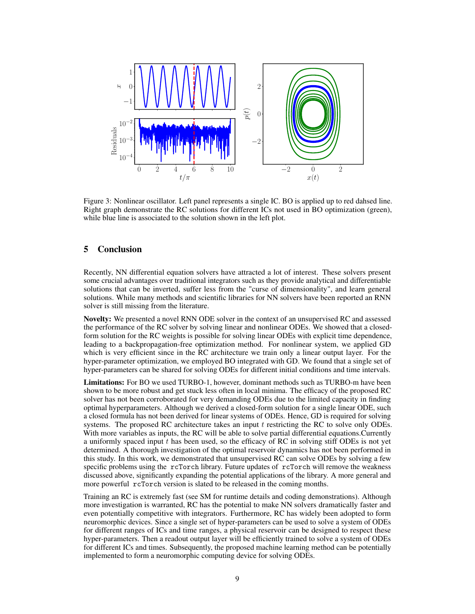

Figure 3: Nonlinear oscillator. Left panel represents a single IC. BO is applied up to red dahsed line. Right graph demonstrate the RC solutions for different ICs not used in BO optimization (green), while blue line is associated to the solution shown in the left plot.

# 5 Conclusion

Recently, NN differential equation solvers have attracted a lot of interest. These solvers present some crucial advantages over traditional integrators such as they provide analytical and differentiable solutions that can be inverted, suffer less from the "curse of dimensionality", and learn general solutions. While many methods and scientific libraries for NN solvers have been reported an RNN solver is still missing from the literature.

Novelty: We presented a novel RNN ODE solver in the context of an unsupervised RC and assessed the performance of the RC solver by solving linear and nonlinear ODEs. We showed that a closedform solution for the RC weights is possible for solving linear ODEs with explicit time dependence, leading to a backpropagation-free optimization method. For nonlinear system, we applied GD which is very efficient since in the RC architecture we train only a linear output layer. For the hyper-parameter optimization, we employed BO integrated with GD. We found that a single set of hyper-parameters can be shared for solving ODEs for different initial conditions and time intervals.

Limitations: For BO we used TURBO-1, however, dominant methods such as TURBO-m have been shown to be more robust and get stuck less often in local minima. The efficacy of the proposed RC solver has not been corroborated for very demanding ODEs due to the limited capacity in finding optimal hyperparameters. Although we derived a closed-form solution for a single linear ODE, such a closed formula has not been derived for linear systems of ODEs. Hence, GD is required for solving systems. The proposed RC architecture takes an input t restricting the RC to solve only ODEs. With more variables as inputs, the RC will be able to solve partial differential equations. Currently a uniformly spaced input  $t$  has been used, so the efficacy of RC in solving stiff ODEs is not yet determined. A thorough investigation of the optimal reservoir dynamics has not been performed in this study. In this work, we demonstrated that unsupervised RC can solve ODEs by solving a few specific problems using the rcTorch library. Future updates of rcTorch will remove the weakness discussed above, significantly expanding the potential applications of the library. A more general and more powerful rcTorch version is slated to be released in the coming months.

Training an RC is extremely fast (see SM for runtime details and coding demonstrations). Although more investigation is warranted, RC has the potential to make NN solvers dramatically faster and even potentially competitive with integrators. Furthermore, RC has widely been adopted to form neuromorphic devices. Since a single set of hyper-parameters can be used to solve a system of ODEs for different ranges of ICs and time ranges, a physical reservoir can be designed to respect these hyper-parameters. Then a readout output layer will be efficiently trained to solve a system of ODEs for different ICs and times. Subsequently, the proposed machine learning method can be potentially implemented to form a neuromorphic computing device for solving ODEs.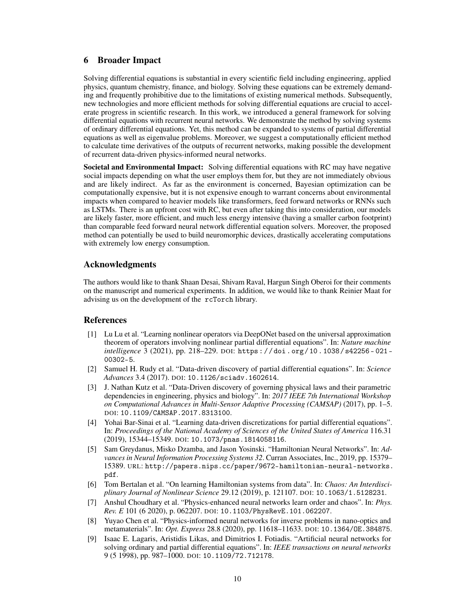## 6 Broader Impact

Solving differential equations is substantial in every scientific field including engineering, applied physics, quantum chemistry, finance, and biology. Solving these equations can be extremely demanding and frequently prohibitive due to the limitations of existing numerical methods. Subsequently, new technologies and more efficient methods for solving differential equations are crucial to accelerate progress in scientific research. In this work, we introduced a general framework for solving differential equations with recurrent neural networks. We demonstrate the method by solving systems of ordinary differential equations. Yet, this method can be expanded to systems of partial differential equations as well as eigenvalue problems. Moreover, we suggest a computationally efficient method to calculate time derivatives of the outputs of recurrent networks, making possible the development of recurrent data-driven physics-informed neural networks.

Societal and Environmental Impact: Solving differential equations with RC may have negative social impacts depending on what the user employs them for, but they are not immediately obvious and are likely indirect. As far as the environment is concerned, Bayesian optimization can be computationally expensive, but it is not expensive enough to warrant concerns about environmental impacts when compared to heavier models like transformers, feed forward networks or RNNs such as LSTMs. There is an upfront cost with RC, but even after taking this into consideration, our models are likely faster, more efficient, and much less energy intensive (having a smaller carbon footprint) than comparable feed forward neural network differential equation solvers. Moreover, the proposed method can potentially be used to build neuromorphic devices, drastically accelerating computations with extremely low energy consumption.

# Acknowledgments

The authors would like to thank Shaan Desai, Shivam Raval, Hargun Singh Oberoi for their comments on the manuscript and numerical experiments. In addition, we would like to thank Reinier Maat for advising us on the development of the rcTorch library.

## References

- [1] Lu Lu et al. "Learning nonlinear operators via DeepONet based on the universal approximation theorem of operators involving nonlinear partial differential equations". In: *Nature machine intelligence* 3 (2021), pp. 218–229. DOI: https : / / doi . org / 10 . 1038 / s42256 - 021 - 00302-5.
- [2] Samuel H. Rudy et al. "Data-driven discovery of partial differential equations". In: *Science Advances* 3.4 (2017). DOI: 10.1126/sciadv.1602614.
- [3] J. Nathan Kutz et al. "Data-Driven discovery of governing physical laws and their parametric dependencies in engineering, physics and biology". In: *2017 IEEE 7th International Workshop on Computational Advances in Multi-Sensor Adaptive Processing (CAMSAP)* (2017), pp. 1–5. DOI: 10.1109/CAMSAP.2017.8313100.
- [4] Yohai Bar-Sinai et al. "Learning data-driven discretizations for partial differential equations". In: *Proceedings of the National Academy of Sciences of the United States of America* 116.31 (2019), 15344–15349. DOI: 10.1073/pnas.1814058116.
- [5] Sam Greydanus, Misko Dzamba, and Jason Yosinski. "Hamiltonian Neural Networks". In: *Advances in Neural Information Processing Systems 32*. Curran Associates, Inc., 2019, pp. 15379– 15389. URL: http://papers.nips.cc/paper/9672-hamiltonian-neural-networks. pdf.
- [6] Tom Bertalan et al. "On learning Hamiltonian systems from data". In: *Chaos: An Interdisciplinary Journal of Nonlinear Science* 29.12 (2019), p. 121107. DOI: 10.1063/1.5128231.
- [7] Anshul Choudhary et al. "Physics-enhanced neural networks learn order and chaos". In: *Phys. Rev. E* 101 (6 2020), p. 062207. DOI: 10.1103/PhysRevE.101.062207.
- [8] Yuyao Chen et al. "Physics-informed neural networks for inverse problems in nano-optics and metamaterials". In: *Opt. Express* 28.8 (2020), pp. 11618–11633. DOI: 10.1364/OE.384875.
- [9] Isaac E. Lagaris, Aristidis Likas, and Dimitrios I. Fotiadis. "Artificial neural networks for solving ordinary and partial differential equations". In: *IEEE transactions on neural networks* 9 (5 1998), pp. 987–1000. DOI: 10.1109/72.712178.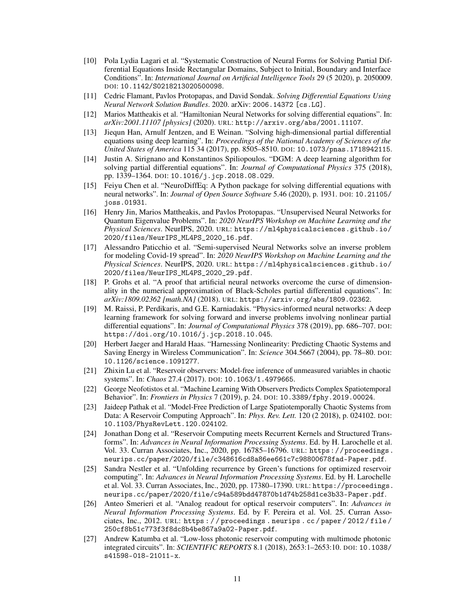- [10] Pola Lydia Lagari et al. "Systematic Construction of Neural Forms for Solving Partial Differential Equations Inside Rectangular Domains, Subject to Initial, Boundary and Interface Conditions". In: *International Journal on Artificial Intelligence Tools* 29 (5 2020), p. 2050009. DOI: 10.1142/S0218213020500098.
- [11] Cedric Flamant, Pavlos Protopapas, and David Sondak. *Solving Differential Equations Using Neural Network Solution Bundles*. 2020. arXiv: 2006.14372 [cs.LG].
- [12] Marios Mattheakis et al. "Hamiltonian Neural Networks for solving differential equations". In: *arXiv:2001.11107 [physics]* (2020). URL: http://arxiv.org/abs/2001.11107.
- [13] Jiequn Han, Arnulf Jentzen, and E Weinan. "Solving high-dimensional partial differential equations using deep learning". In: *Proceedings of the National Academy of Sciences of the United States of America* 115 34 (2017), pp. 8505–8510. DOI: 10.1073/pnas.1718942115.
- [14] Justin A. Sirignano and Konstantinos Spiliopoulos. "DGM: A deep learning algorithm for solving partial differential equations". In: *Journal of Computational Physics* 375 (2018), pp. 1339–1364. DOI: 10.1016/j.jcp.2018.08.029.
- [15] Feiyu Chen et al. "NeuroDiffEq: A Python package for solving differential equations with neural networks". In: *Journal of Open Source Software* 5.46 (2020), p. 1931. DOI: 10.21105/ joss.01931.
- [16] Henry Jin, Marios Mattheakis, and Pavlos Protopapas. "Unsupervised Neural Networks for Quantum Eigenvalue Problems". In: *2020 NeurIPS Workshop on Machine Learning and the Physical Sciences*. NeurIPS, 2020. URL: https://ml4physicalsciences.github.io/ 2020/files/NeurIPS\_ML4PS\_2020\_16.pdf.
- [17] Alessandro Paticchio et al. "Semi-supervised Neural Networks solve an inverse problem for modeling Covid-19 spread". In: *2020 NeurIPS Workshop on Machine Learning and the Physical Sciences*. NeurIPS, 2020. URL: https://ml4physicalsciences.github.io/ 2020/files/NeurIPS\_ML4PS\_2020\_29.pdf.
- [18] P. Grohs et al. "A proof that artificial neural networks overcome the curse of dimensionality in the numerical approximation of Black-Scholes partial differential equations". In: *arXiv:1809.02362 [math.NA]* (2018). URL: https://arxiv.org/abs/1809.02362.
- [19] M. Raissi, P. Perdikaris, and G.E. Karniadakis. "Physics-informed neural networks: A deep learning framework for solving forward and inverse problems involving nonlinear partial differential equations". In: *Journal of Computational Physics* 378 (2019), pp. 686–707. DOI: https://doi.org/10.1016/j.jcp.2018.10.045.
- [20] Herbert Jaeger and Harald Haas. "Harnessing Nonlinearity: Predicting Chaotic Systems and Saving Energy in Wireless Communication". In: *Science* 304.5667 (2004), pp. 78–80. DOI: 10.1126/science.1091277.
- [21] Zhixin Lu et al. "Reservoir observers: Model-free inference of unmeasured variables in chaotic systems". In: *Chaos* 27.4 (2017). DOI: 10.1063/1.4979665.
- [22] George Neofotistos et al. "Machine Learning With Observers Predicts Complex Spatiotemporal Behavior". In: *Frontiers in Physics* 7 (2019), p. 24. DOI: 10.3389/fphy.2019.00024.
- [23] Jaideep Pathak et al. "Model-Free Prediction of Large Spatiotemporally Chaotic Systems from Data: A Reservoir Computing Approach". In: *Phys. Rev. Lett.* 120 (2 2018), p. 024102. DOI: 10.1103/PhysRevLett.120.024102.
- [24] Jonathan Dong et al. "Reservoir Computing meets Recurrent Kernels and Structured Transforms". In: *Advances in Neural Information Processing Systems*. Ed. by H. Larochelle et al. Vol. 33. Curran Associates, Inc., 2020, pp. 16785–16796. URL: https://proceedings. neurips.cc/paper/2020/file/c348616cd8a86ee661c7c98800678fad-Paper.pdf.
- [25] Sandra Nestler et al. "Unfolding recurrence by Green's functions for optimized reservoir computing". In: *Advances in Neural Information Processing Systems*. Ed. by H. Larochelle et al. Vol. 33. Curran Associates, Inc., 2020, pp. 17380–17390. URL: https://proceedings. neurips.cc/paper/2020/file/c94a589bdd47870b1d74b258d1ce3b33-Paper.pdf.
- [26] Anteo Smerieri et al. "Analog readout for optical reservoir computers". In: *Advances in Neural Information Processing Systems*. Ed. by F. Pereira et al. Vol. 25. Curran Associates, Inc., 2012. URL: https : / / proceedings . neurips . cc / paper / 2012 / file / 250cf8b51c773f3f8dc8b4be867a9a02-Paper.pdf.
- [27] Andrew Katumba et al. "Low-loss photonic reservoir computing with multimode photonic integrated circuits". In: *SCIENTIFIC REPORTS* 8.1 (2018), 2653:1–2653:10. DOI: 10.1038/ s41598-018-21011-x.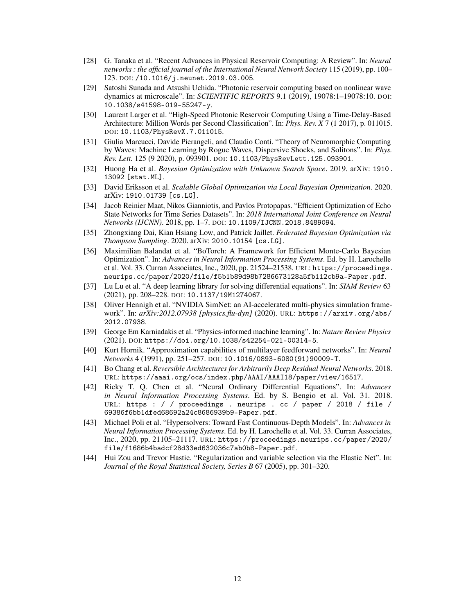- [28] G. Tanaka et al. "Recent Advances in Physical Reservoir Computing: A Review". In: *Neural networks : the official journal of the International Neural Network Society* 115 (2019), pp. 100– 123. DOI: /10.1016/j.neunet.2019.03.005.
- [29] Satoshi Sunada and Atsushi Uchida. "Photonic reservoir computing based on nonlinear wave dynamics at microscale". In: *SCIENTIFIC REPORTS* 9.1 (2019), 19078:1–19078:10. DOI: 10.1038/s41598-019-55247-y.
- [30] Laurent Larger et al. "High-Speed Photonic Reservoir Computing Using a Time-Delay-Based Architecture: Million Words per Second Classification". In: *Phys. Rev. X* 7 (1 2017), p. 011015. DOI: 10.1103/PhysRevX.7.011015.
- [31] Giulia Marcucci, Davide Pierangeli, and Claudio Conti. "Theory of Neuromorphic Computing by Waves: Machine Learning by Rogue Waves, Dispersive Shocks, and Solitons". In: *Phys. Rev. Lett.* 125 (9 2020), p. 093901. DOI: 10.1103/PhysRevLett.125.093901.
- [32] Huong Ha et al. *Bayesian Optimization with Unknown Search Space*. 2019. arXiv: 1910. 13092 [stat.ML].
- [33] David Eriksson et al. *Scalable Global Optimization via Local Bayesian Optimization*. 2020. arXiv: 1910.01739 [cs.LG].
- [34] Jacob Reinier Maat, Nikos Gianniotis, and Pavlos Protopapas. "Efficient Optimization of Echo State Networks for Time Series Datasets". In: *2018 International Joint Conference on Neural Networks (IJCNN)*. 2018, pp. 1–7. DOI: 10.1109/IJCNN.2018.8489094.
- [35] Zhongxiang Dai, Kian Hsiang Low, and Patrick Jaillet. *Federated Bayesian Optimization via Thompson Sampling*. 2020. arXiv: 2010.10154 [cs.LG].
- [36] Maximilian Balandat et al. "BoTorch: A Framework for Efficient Monte-Carlo Bayesian Optimization". In: *Advances in Neural Information Processing Systems*. Ed. by H. Larochelle et al. Vol. 33. Curran Associates, Inc., 2020, pp. 21524–21538. URL: https://proceedings. neurips.cc/paper/2020/file/f5b1b89d98b7286673128a5fb112cb9a-Paper.pdf.
- [37] Lu Lu et al. "A deep learning library for solving differential equations". In: *SIAM Review* 63 (2021), pp. 208–228. DOI: 10.1137/19M1274067.
- [38] Oliver Hennigh et al. "NVIDIA SimNet: an AI-accelerated multi-physics simulation framework". In: *arXiv:2012.07938 [physics.flu-dyn]* (2020). URL: https://arxiv.org/abs/ 2012.07938.
- [39] George Em Karniadakis et al. "Physics-informed machine learning". In: *Nature Review Physics* (2021). DOI: https://doi.org/10.1038/s42254-021-00314-5.
- [40] Kurt Hornik. "Approximation capabilities of multilayer feedforward networks". In: *Neural Networks* 4 (1991), pp. 251–257. DOI: 10.1016/0893-6080(91)90009-T.
- [41] Bo Chang et al. *Reversible Architectures for Arbitrarily Deep Residual Neural Networks*. 2018. URL: https://aaai.org/ocs/index.php/AAAI/AAAI18/paper/view/16517.
- [42] Ricky T. Q. Chen et al. "Neural Ordinary Differential Equations". In: *Advances in Neural Information Processing Systems*. Ed. by S. Bengio et al. Vol. 31. 2018. URL: https : / / proceedings . neurips . cc / paper / 2018 / file / 69386f6bb1dfed68692a24c8686939b9-Paper.pdf.
- [43] Michael Poli et al. "Hypersolvers: Toward Fast Continuous-Depth Models". In: *Advances in Neural Information Processing Systems*. Ed. by H. Larochelle et al. Vol. 33. Curran Associates, Inc., 2020, pp. 21105–21117. URL: https://proceedings.neurips.cc/paper/2020/ file/f1686b4badcf28d33ed632036c7ab0b8-Paper.pdf.
- [44] Hui Zou and Trevor Hastie. "Regularization and variable selection via the Elastic Net". In: *Journal of the Royal Statistical Society, Series B* 67 (2005), pp. 301–320.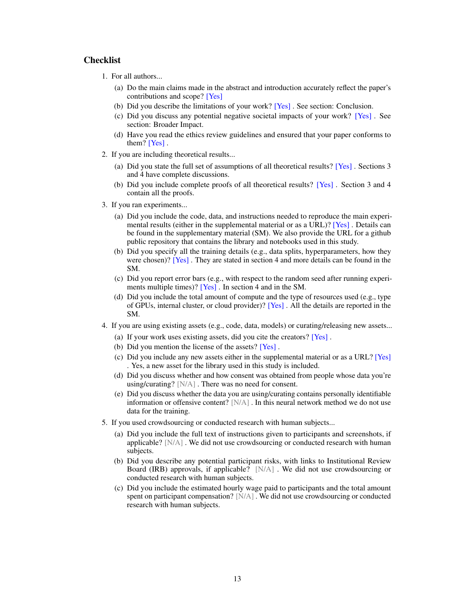## Checklist

- 1. For all authors...
	- (a) Do the main claims made in the abstract and introduction accurately reflect the paper's contributions and scope? [Yes]
	- (b) Did you describe the limitations of your work? [Yes] . See section: Conclusion.
	- (c) Did you discuss any potential negative societal impacts of your work? [Yes] . See section: Broader Impact.
	- (d) Have you read the ethics review guidelines and ensured that your paper conforms to them? [Yes] .
- 2. If you are including theoretical results...
	- (a) Did you state the full set of assumptions of all theoretical results? [Yes] . Sections 3 and 4 have complete discussions.
	- (b) Did you include complete proofs of all theoretical results? [Yes] . Section 3 and 4 contain all the proofs.
- 3. If you ran experiments...
	- (a) Did you include the code, data, and instructions needed to reproduce the main experimental results (either in the supplemental material or as a URL)? [Yes] . Details can be found in the supplementary material (SM). We also provide the URL for a github public repository that contains the library and notebooks used in this study.
	- (b) Did you specify all the training details (e.g., data splits, hyperparameters, how they were chosen)? [Yes]. They are stated in section 4 and more details can be found in the SM.
	- (c) Did you report error bars (e.g., with respect to the random seed after running experiments multiple times)? [Yes] . In section 4 and in the SM.
	- (d) Did you include the total amount of compute and the type of resources used (e.g., type of GPUs, internal cluster, or cloud provider)? [Yes] . All the details are reported in the SM.
- 4. If you are using existing assets (e.g., code, data, models) or curating/releasing new assets...
	- (a) If your work uses existing assets, did you cite the creators? [Yes] .
	- (b) Did you mention the license of the assets? [Yes].
	- (c) Did you include any new assets either in the supplemental material or as a URL? [Yes] . Yes, a new asset for the library used in this study is included.
	- (d) Did you discuss whether and how consent was obtained from people whose data you're using/curating? [N/A] . There was no need for consent.
	- (e) Did you discuss whether the data you are using/curating contains personally identifiable information or offensive content? [N/A] . In this neural network method we do not use data for the training.
- 5. If you used crowdsourcing or conducted research with human subjects...
	- (a) Did you include the full text of instructions given to participants and screenshots, if applicable? [N/A] . We did not use crowdsourcing or conducted research with human subjects.
	- (b) Did you describe any potential participant risks, with links to Institutional Review Board (IRB) approvals, if applicable? [N/A] . We did not use crowdsourcing or conducted research with human subjects.
	- (c) Did you include the estimated hourly wage paid to participants and the total amount spent on participant compensation? [N/A] . We did not use crowdsourcing or conducted research with human subjects.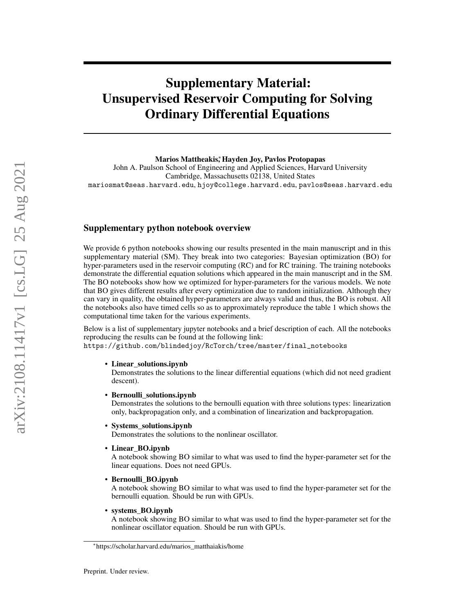# Supplementary Material: Unsupervised Reservoir Computing for Solving Ordinary Differential Equations

Marios Mattheakis,\* Hayden Joy, Pavlos Protopapas

John A. Paulson School of Engineering and Applied Sciences, Harvard University Cambridge, Massachusetts 02138, United States mariosmat@seas.harvard.edu, hjoy@college.harvard.edu, pavlos@seas.harvard.edu

# Supplementary python notebook overview

We provide 6 python notebooks showing our results presented in the main manuscript and in this supplementary material (SM). They break into two categories: Bayesian optimization (BO) for hyper-parameters used in the reservoir computing (RC) and for RC training. The training notebooks demonstrate the differential equation solutions which appeared in the main manuscript and in the SM. The BO notebooks show how we optimized for hyper-parameters for the various models. We note that BO gives different results after every optimization due to random initialization. Although they can vary in quality, the obtained hyper-parameters are always valid and thus, the BO is robust. All the notebooks also have timed cells so as to approximately reproduce the table 1 which shows the computational time taken for the various experiments.

Below is a list of supplementary jupyter notebooks and a brief description of each. All the notebooks reproducing the results can be found at the following link: https://github.com/blindedjoy/RcTorch/tree/master/final\_notebooks

#### • Linear\_solutions.ipynb

Demonstrates the solutions to the linear differential equations (which did not need gradient descent).

#### • Bernoulli solutions.ipynb

Demonstrates the solutions to the bernoulli equation with three solutions types: linearization only, backpropagation only, and a combination of linearization and backpropagation.

#### • Systems\_solutions.ipynb

Demonstrates the solutions to the nonlinear oscillator.

• Linear BO.ipynb

A notebook showing BO similar to what was used to find the hyper-parameter set for the linear equations. Does not need GPUs.

• Bernoulli\_BO.ipynb

A notebook showing BO similar to what was used to find the hyper-parameter set for the bernoulli equation. Should be run with GPUs.

• systems\_BO.ipynb

A notebook showing BO similar to what was used to find the hyper-parameter set for the nonlinear oscillator equation. Should be run with GPUs.

<sup>∗</sup> https://scholar.harvard.edu/marios\_matthaiakis/home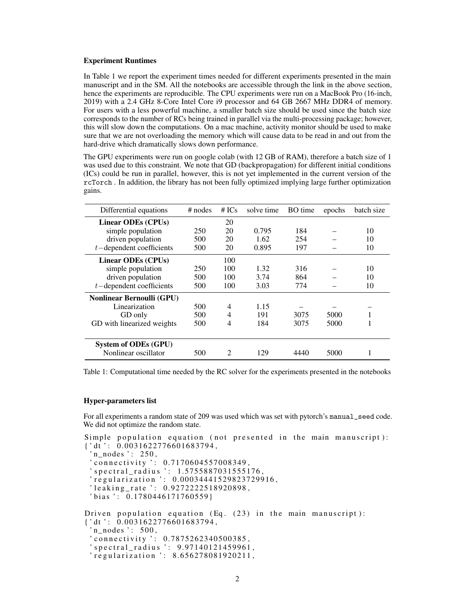#### Experiment Runtimes

In Table 1 we report the experiment times needed for different experiments presented in the main manuscript and in the SM. All the notebooks are accessible through the link in the above section, hence the experiments are reproducible. The CPU experiments were run on a MacBook Pro (16-inch, 2019) with a 2.4 GHz 8-Core Intel Core i9 processor and 64 GB 2667 MHz DDR4 of memory. For users with a less powerful machine, a smaller batch size should be used since the batch size corresponds to the number of RCs being trained in parallel via the multi-processing package; however, this will slow down the computations. On a mac machine, activity monitor should be used to make sure that we are not overloading the memory which will cause data to be read in and out from the hard-drive which dramatically slows down performance.

The GPU experiments were run on google colab (with 12 GB of RAM), therefore a batch size of 1 was used due to this constraint. We note that GD (backpropagation) for different initial conditions (ICs) could be run in parallel, however, this is not yet implemented in the current version of the rcTorch . In addition, the library has not been fully optimized implying large further optimization gains.

| Differential equations           | $#$ nodes | # $ICs$                     | solve time | <b>BO</b> time | epochs | batch size |
|----------------------------------|-----------|-----------------------------|------------|----------------|--------|------------|
| Linear ODEs (CPUs)               |           | 20                          |            |                |        |            |
| simple population                | 250       | 20                          | 0.795      | 184            |        | 10         |
| driven population                | 500       | 20                          | 1.62       | 254            |        | 10         |
| $t$ -dependent coefficients      | 500       | 20                          | 0.895      | 197            |        | 10         |
| Linear ODEs (CPUs)               |           | 100                         |            |                |        |            |
| simple population                | 250       | 100                         | 1.32       | 316            |        | 10         |
| driven population                | 500       | 100                         | 3.74       | 864            |        | 10         |
| $t$ -dependent coefficients      | 500       | 100                         | 3.03       | 774            |        | 10         |
| <b>Nonlinear Bernoulli (GPU)</b> |           |                             |            |                |        |            |
| Linearization                    | 500       | 4                           | 1.15       |                |        |            |
| GD only                          | 500       | 4                           | 191        | 3075           | 5000   |            |
| GD with linearized weights       | 500       | 4                           | 184        | 3075           | 5000   |            |
|                                  |           |                             |            |                |        |            |
| <b>System of ODEs (GPU)</b>      |           |                             |            |                |        |            |
| Nonlinear oscillator             | 500       | $\mathcal{D}_{\mathcal{L}}$ | 129        | 4440           | 5000   |            |

Table 1: Computational time needed by the RC solver for the experiments presented in the notebooks

#### Hyper-parameters list

For all experiments a random state of 209 was used which was set with pytorch's manual seed code. We did not optimize the random state.

```
Simple population equation (not presented in the main manuscript):
\{ 'dt': 0.0031622776601683794, \}n_nodes ': 250,
 ' connectivity ': 0.7170604557008349,' spectral_radius ': 1.5755887031555176,
 regularization ': 0.00034441529823729916,"
 'leaking_rate ': 0.9272222518920898,
 ' bias': 0.1780446171760559Driven population equation (Eq. (23) in the main manuscript):
\{ 'dt': 0.0031622776601683794, \}'n\_nodes : 500,
 ' connectivity ': 0.7875262340500385,' spectral_radius ': 9.97140121459961,
 ' regularization ': 8.656278081920211,
```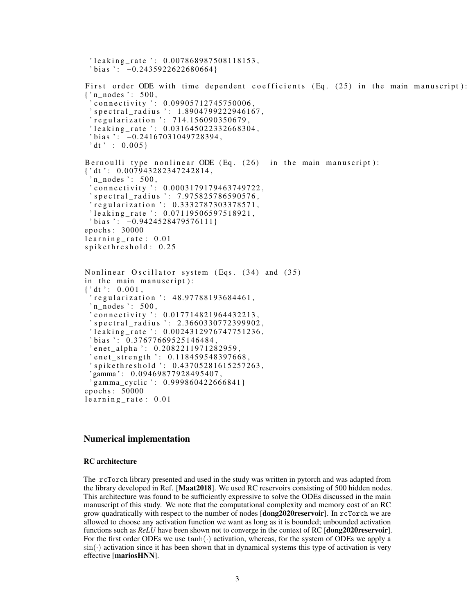```
' leaking rate ': 0.007868987508118153,
 ' \text{bias} ': -0.2435922622680664}
First order ODE with time dependent coefficients (Eq. (25) in the main manuscript):
\{\n \cdot n\_nodes \n \cdot : 500,\n \cdot' connectivity ': 0.09905712745750006.
 ' spectral_radius ': 1.8904799222946167,
 r_{\rm{regulation}} : 714.156090350679,
 ' leaking_rate ': 0.031645022332668304,
 ' bias ': -0.24167031049728394,
 ' dt ' : 0.005}
Bernoulli type nonlinear ODE (Eq. (26) in the main manuscript):
\{ 'dt': 0.007943282347242814, \}n\_nodes ': 500,
 ' connectivity ': 0.0003179179463749722,
 ' spectral_radius ': 7.975825786590576,
 regularization ': 0.3332787303378571,
 'leaking_rate ': 0.07119506597518921,
 ' bias ': -0.9424528479576111}
epochs : 30000
learning_rate: 0.01spikethreshold: 0.25
Nonlinear Oscillator system (Eqs. (34) and (35)
in the main manuscript):
\{ 'dt': 0.001,regularization ': 48.97788193684461,
 'n\_nodes : 500,
 ' connectivity ': 0.017714821964432213,
 ' spectral_radius ': 2.3660330772399902,
 'leaking_rate ': 0.0024312976747751236,
 ' bias ': 0.37677669525146484,
 ' enet_alpha ': 0.2082211971282959,
 ' enet_strength ': 0.118459548397668,
 's pick e threshold : 0.43705281615257263,'gamma': 0.09469877928495407,
 ' gamma cyclic ': 0.999860422666841}
epochs : 50000
learning_rate: 0.01
```
# Numerical implementation

## RC architecture

The rcTorch library presented and used in the study was written in pytorch and was adapted from the library developed in Ref. [Maat2018]. We used RC reservoirs consisting of 500 hidden nodes. This architecture was found to be sufficiently expressive to solve the ODEs discussed in the main manuscript of this study. We note that the computational complexity and memory cost of an RC grow quadratically with respect to the number of nodes [dong2020reservoir]. In rcTorch we are allowed to choose any activation function we want as long as it is bounded; unbounded activation functions such as *ReLU* have been shown not to converge in the context of RC [dong2020reservoir]. For the first order ODEs we use  $tanh(\cdot)$  activation, whereas, for the system of ODEs we apply a  $\sin(\cdot)$  activation since it has been shown that in dynamical systems this type of activation is very effective [mariosHNN].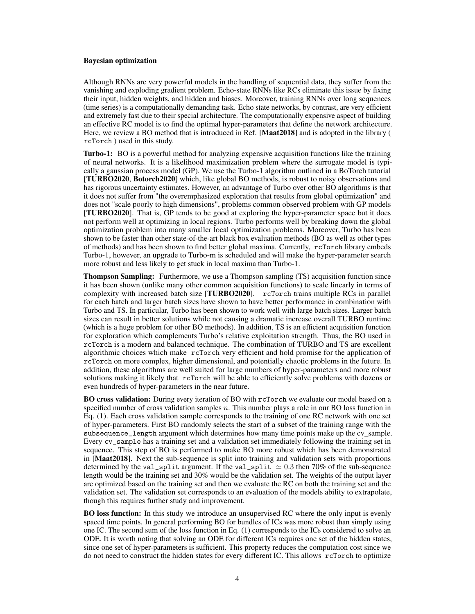#### Bayesian optimization

Although RNNs are very powerful models in the handling of sequential data, they suffer from the vanishing and exploding gradient problem. Echo-state RNNs like RCs eliminate this issue by fixing their input, hidden weights, and hidden and biases. Moreover, training RNNs over long sequences (time series) is a computationally demanding task. Echo state networks, by contrast, are very efficient and extremely fast due to their special architecture. The computationally expensive aspect of building an effective RC model is to find the optimal hyper-parameters that define the network architecture. Here, we review a BO method that is introduced in Ref. [Maat2018] and is adopted in the library ( rcTorch ) used in this study.

Turbo-1: BO is a powerful method for analyzing expensive acquisition functions like the training of neural networks. It is a likelihood maximization problem where the surrogate model is typically a gaussian process model (GP). We use the Turbo-1 algorithm outlined in a BoTorch tutorial [TURBO2020, Botorch2020] which, like global BO methods, is robust to noisy observations and has rigorous uncertainty estimates. However, an advantage of Turbo over other BO algorithms is that it does not suffer from "the overemphasized exploration that results from global optimization" and does not "scale poorly to high dimensions", problems common observed problem with GP models [TURBO2020]. That is, GP tends to be good at exploring the hyper-parameter space but it does not perform well at optimizing in local regions. Turbo performs well by breaking down the global optimization problem into many smaller local optimization problems. Moreover, Turbo has been shown to be faster than other state-of-the-art black box evaluation methods (BO as well as other types of methods) and has been shown to find better global maxima. Currently, rcTorch library embeds Turbo-1, however, an upgrade to Turbo-m is scheduled and will make the hyper-parameter search more robust and less likely to get stuck in local maxima than Turbo-1.

Thompson Sampling: Furthermore, we use a Thompson sampling (TS) acquisition function since it has been shown (unlike many other common acquisition functions) to scale linearly in terms of complexity with increased batch size [TURBO2020]. rcTorch trains multiple RCs in parallel for each batch and larger batch sizes have shown to have better performance in combination with Turbo and TS. In particular, Turbo has been shown to work well with large batch sizes. Larger batch sizes can result in better solutions while not causing a dramatic increase overall TURBO runtime (which is a huge problem for other BO methods). In addition, TS is an efficient acquisition function for exploration which complements Turbo's relative exploitation strength. Thus, the BO used in rcTorch is a modern and balanced technique. The combination of TURBO and TS are excellent algorithmic choices which make rcTorch very efficient and hold promise for the application of rcTorch on more complex, higher dimensional, and potentially chaotic problems in the future. In addition, these algorithms are well suited for large numbers of hyper-parameters and more robust solutions making it likely that rcTorch will be able to efficiently solve problems with dozens or even hundreds of hyper-parameters in the near future.

BO cross validation: During every iteration of BO with rcTorch we evaluate our model based on a specified number of cross validation samples n. This number plays a role in our BO loss function in Eq. (1). Each cross validation sample corresponds to the training of one RC network with one set of hyper-parameters. First BO randomly selects the start of a subset of the training range with the subsequence\_length argument which determines how many time points make up the cv\_sample. Every cv\_sample has a training set and a validation set immediately following the training set in sequence. This step of BO is performed to make BO more robust which has been demonstrated in [Maat2018]. Next the sub-sequence is split into training and validation sets with proportions determined by the val\_split argument. If the val\_split  $\simeq 0.3$  then 70% of the sub-sequence length would be the training set and 30% would be the validation set. The weights of the output layer are optimized based on the training set and then we evaluate the RC on both the training set and the validation set. The validation set corresponds to an evaluation of the models ability to extrapolate, though this requires further study and improvement.

BO loss function: In this study we introduce an unsupervised RC where the only input is evenly spaced time points. In general performing BO for bundles of ICs was more robust than simply using one IC. The second sum of the loss function in Eq. (1) corresponds to the ICs considered to solve an ODE. It is worth noting that solving an ODE for different ICs requires one set of the hidden states, since one set of hyper-parameters is sufficient. This property reduces the computation cost since we do not need to construct the hidden states for every different IC. This allows rcTorch to optimize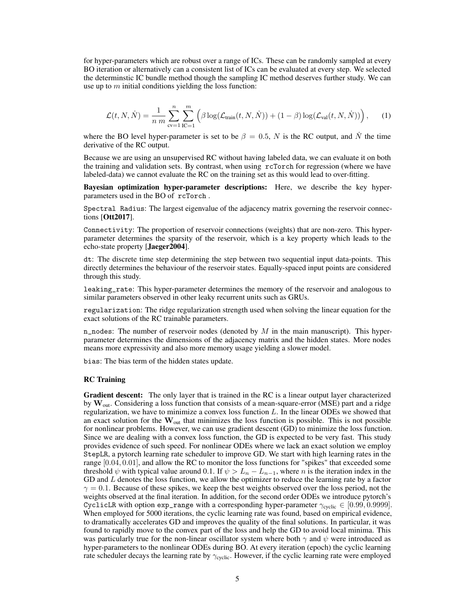for hyper-parameters which are robust over a range of ICs. These can be randomly sampled at every BO iteration or alternatively can a consistent list of ICs can be evaluated at every step. We selected the determinstic IC bundle method though the sampling IC method deserves further study. We can use up to  $m$  initial conditions yielding the loss function:

$$
\mathcal{L}(t, N, \dot{N}) = \frac{1}{n m} \sum_{\text{cv}=1}^{n} \sum_{\text{IC}=1}^{m} \left( \beta \log(\mathcal{L}_{\text{train}}(t, N, \dot{N})) + (1 - \beta) \log(\mathcal{L}_{\text{val}}(t, N, \dot{N})) \right), \quad (1)
$$

where the BO level hyper-parameter is set to be  $\beta = 0.5$ , N is the RC output, and N the time derivative of the RC output.

Because we are using an unsupervised RC without having labeled data, we can evaluate it on both the training and validation sets. By contrast, when using rcTorch for regression (where we have labeled-data) we cannot evaluate the RC on the training set as this would lead to over-fitting.

Bayesian optimization hyper-parameter descriptions: Here, we describe the key hyperparameters used in the BO of rcTorch .

Spectral Radius: The largest eigenvalue of the adjacency matrix governing the reservoir connections [Ott2017].

Connectivity: The proportion of reservoir connections (weights) that are non-zero. This hyperparameter determines the sparsity of the reservoir, which is a key property which leads to the echo-state property [Jaeger2004].

dt: The discrete time step determining the step between two sequential input data-points. This directly determines the behaviour of the reservoir states. Equally-spaced input points are considered through this study.

leaking\_rate: This hyper-parameter determines the memory of the reservoir and analogous to similar parameters observed in other leaky recurrent units such as GRUs.

regularization: The ridge regularization strength used when solving the linear equation for the exact solutions of the RC trainable parameters.

n\_nodes: The number of reservoir nodes (denoted by  $M$  in the main manuscript). This hyperparameter determines the dimensions of the adjacency matrix and the hidden states. More nodes means more expressivity and also more memory usage yielding a slower model.

bias: The bias term of the hidden states update.

#### RC Training

Gradient descent: The only layer that is trained in the RC is a linear output layer characterized by  $W_{\text{out}}$ . Considering a loss function that consists of a mean-square-error (MSE) part and a ridge regularization, we have to minimize a convex loss function L. In the linear ODEs we showed that an exact solution for the  $\mathbf{W}_{out}$  that minimizes the loss function is possible. This is not possible for nonlinear problems. However, we can use gradient descent (GD) to minimize the loss function. Since we are dealing with a convex loss function, the GD is expected to be very fast. This study provides evidence of such speed. For nonlinear ODEs where we lack an exact solution we employ StepLR, a pytorch learning rate scheduler to improve GD. We start with high learning rates in the range [0.04, 0.01], and allow the RC to monitor the loss functions for "spikes" that exceeded some threshold  $\psi$  with typical value around 0.1. If  $\psi > L_n - L_{n-1}$ , where n is the iteration index in the GD and  $L$  denotes the loss function, we allow the optimizer to reduce the learning rate by a factor  $\gamma = 0.1$ . Because of these spikes, we keep the best weights observed over the loss period, not the weights observed at the final iteration. In addition, for the second order ODEs we introduce pytorch's CyclicLR with option exp\_range with a corresponding hyper-parameter  $\gamma_{\text{cyclic}} \in [0.99, 0.9999]$ . When employed for 5000 iterations, the cyclic learning rate was found, based on empirical evidence, to dramatically accelerates GD and improves the quality of the final solutions. In particular, it was found to rapidly move to the convex part of the loss and help the GD to avoid local minima. This was particularly true for the non-linear oscillator system where both  $\gamma$  and  $\psi$  were introduced as hyper-parameters to the nonlinear ODEs during BO. At every iteration (epoch) the cyclic learning rate scheduler decays the learning rate by  $\gamma_{\text{cyclic}}$ . However, if the cyclic learning rate were employed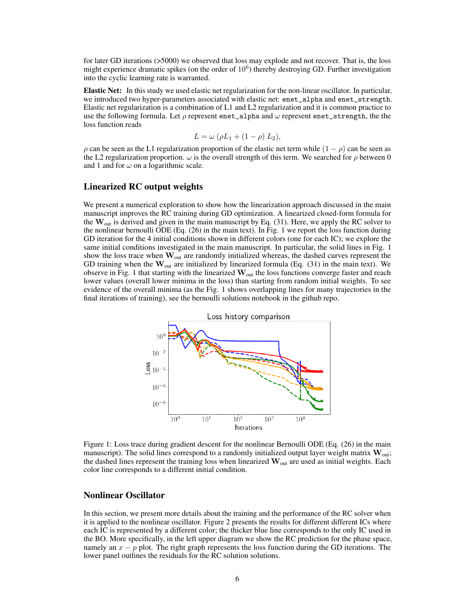for later GD iterations (>5000) we observed that loss may explode and not recover. That is, the loss might experience dramatic spikes (on the order of  $10<sup>6</sup>$ ) thereby destroying GD. Further investigation into the cyclic learning rate is warranted.

Elastic Net: In this study we used elastic net regularization for the non-linear oscillator. In particular, we introduced two hyper-parameters associated with elastic net: enet\_alpha and enet\_strength. Elastic net regularization is a combination of L1 and L2 regularization and it is common practice to use the following formula. Let  $\rho$  represent enet\_alpha and  $\omega$  represent enet\_strength, the the loss function reads

$$
L = \omega \left( \rho L_1 + (1 - \rho) L_2 \right),
$$

 $\rho$  can be seen as the L1 regularization proportion of the elastic net term while  $(1 - \rho)$  can be seen as the L2 regularization proportion.  $\omega$  is the overall strength of this term. We searched for  $\rho$  between 0 and 1 and for  $\omega$  on a logarithmic scale.

## Linearized RC output weights

We present a numerical exploration to show how the linearization approach discussed in the main manuscript improves the RC training during GD optimization. A linearized closed-form formula for the  $W_{\text{out}}$  is derived and given in the main manuscript by Eq. (31). Here, we apply the RC solver to the nonlinear bernoulli ODE (Eq. (26) in the main text). In Fig. 1 we report the loss function during GD iteration for the 4 initial conditions shown in different colors (one for each IC); we explore the same initial conditions investigated in the main manuscript. In particular, the solid lines in Fig. 1 show the loss trace when  $\mathbf{W}_{out}$  are randomly initialized whereas, the dashed curves represent the GD training when the  $\mathbf{W}_{out}$  are initialized by linearized formula (Eq. (31) in the main text). We observe in Fig. 1 that starting with the linearized  $W_{out}$  the loss functions converge faster and reach lower values (overall lower minima in the loss) than starting from random initial weights. To see evidence of the overall minima (as the Fig. 1 shows overlapping lines for many trajectories in the final iterations of training), see the bernoulli solutions notebook in the github repo.



Figure 1: Loss trace during gradient descent for the nonlinear Bernoulli ODE (Eq. (26) in the main manuscript). The solid lines correspond to a randomly initialized output layer weight matrix  $W_{out}$ ; the dashed lines represent the training loss when linearized  $\mathbf{W}_{out}$  are used as initial weights. Each color line corresponds to a different initial condition.

## Nonlinear Oscillator

In this section, we present more details about the training and the performance of the RC solver when it is applied to the nonlinear oscillator. Figure 2 presents the results for different different ICs where each IC is represented by a different color; the thicker blue line corresponds to the only IC used in the BO. More specifically, in the left upper diagram we show the RC prediction for the phase space, namely an  $x - p$  plot. The right graph represents the loss function during the GD iterations. The lower panel outlines the residuals for the RC solution solutions.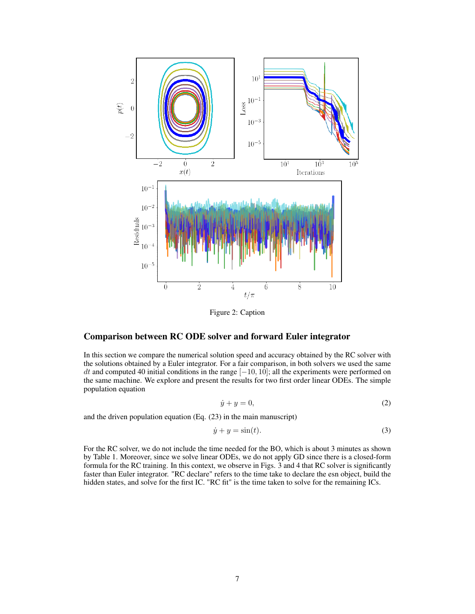

Figure 2: Caption

## Comparison between RC ODE solver and forward Euler integrator

In this section we compare the numerical solution speed and accuracy obtained by the RC solver with the solutions obtained by a Euler integrator. For a fair comparison, in both solvers we used the same dt and computed 40 initial conditions in the range  $[-10, 10]$ ; all the experiments were performed on the same machine. We explore and present the results for two first order linear ODEs. The simple population equation

$$
\dot{y} + y = 0,\tag{2}
$$

and the driven population equation (Eq. (23) in the main manuscript)

$$
\dot{y} + y = \sin(t). \tag{3}
$$

For the RC solver, we do not include the time needed for the BO, which is about 3 minutes as shown by Table 1. Moreover, since we solve linear ODEs, we do not apply GD since there is a closed-form formula for the RC training. In this context, we observe in Figs. 3 and 4 that RC solver is significantly faster than Euler integrator. "RC declare" refers to the time take to declare the esn object, build the hidden states, and solve for the first IC. "RC fit" is the time taken to solve for the remaining ICs.